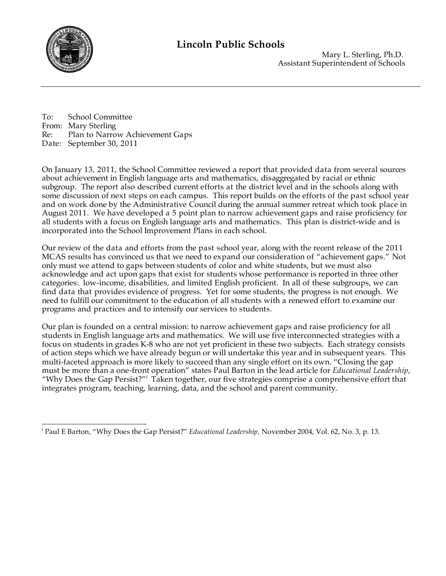

 Mary L. Sterling, Ph.D. Assistant Superintendent of Schools

To: School Committee From: Mary Sterling Re: Plan to Narrow Achievement Gaps Date: September 30, 2011

On January 13, 2011, the School Committee reviewed a report that provided data from several sources about achievement in English language arts and mathematics, disaggregated by racial or ethnic subgroup. The report also described current efforts at the district level and in the schools along with some discussion of next steps on each campus. This report builds on the efforts of the past school year and on work done by the Administrative Council during the annual summer retreat which took place in August 2011. We have developed a 5 point plan to narrow achievement gaps and raise proficiency for all students with a focus on English language arts and mathematics. This plan is district-wide and is incorporated into the School Improvement Plans in each school.

Our review of the data and efforts from the past school year, along with the recent release of the 2011 MCAS results has convinced us that we need to expand our consideration of "achievement gaps." Not only must we attend to gaps between students of color and white students, but we must also acknowledge and act upon gaps that exist for students whose performance is reported in three other categories: low-income, disabilities, and limited English proficient. In all of these subgroups, we can find data that provides evidence of progress. Yet for some students, the progress is not enough. We need to fulfill our commitment to the education of all students with a renewed effort to examine our programs and practices and to intensify our services to students.

Our plan is founded on a central mission: to narrow achievement gaps and raise proficiency for all students in English language arts and mathematics. We will use five interconnected strategies with a focus on students in grades K-8 who are not yet proficient in these two subjects. Each strategy consists of action steps which we have already begun or will undertake this year and in subsequent years. This multi-faceted approach is more likely to succeed than any single effort on its own. "Closing the gap must be more than a one-front operation" states Paul Barton in the lead article for *Educational Leadership*, "Why Does the Gap Persist?" Taken together, our five strategies comprise a comprehensive effort that integrates program, teaching, learning, data, and the school and parent community.

i <sup>i</sup> Paul E Barton, "Why Does the Gap Persist?" *Educational Leadership*, November 2004, Vol. 62, No. 3, p. 13.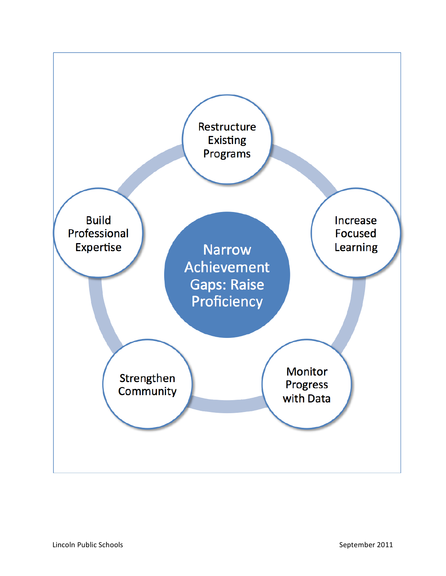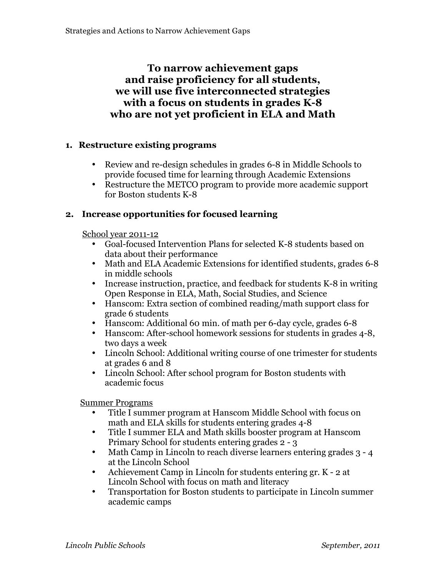# **To narrow achievement gaps and raise proficiency for all students, we will use five interconnected strategies with a focus on students in grades K-8 who are not yet proficient in ELA and Math**

## **1. Restructure existing programs**

- Review and re-design schedules in grades 6-8 in Middle Schools to provide focused time for learning through Academic Extensions
- Restructure the METCO program to provide more academic support for Boston students K-8

## **2. Increase opportunities for focused learning**

School year 2011-12

- Goal-focused Intervention Plans for selected K-8 students based on data about their performance
- Math and ELA Academic Extensions for identified students, grades 6-8 in middle schools
- Increase instruction, practice, and feedback for students K-8 in writing Open Response in ELA, Math, Social Studies, and Science
- Hanscom: Extra section of combined reading/math support class for grade 6 students
- Hanscom: Additional 60 min. of math per 6-day cycle, grades 6-8
- Hanscom: After-school homework sessions for students in grades 4-8, two days a week
- Lincoln School: Additional writing course of one trimester for students at grades 6 and 8
- Lincoln School: After school program for Boston students with academic focus

Summer Programs

- Title I summer program at Hanscom Middle School with focus on math and ELA skills for students entering grades 4-8
- Title I summer ELA and Math skills booster program at Hanscom Primary School for students entering grades 2 - 3
- Math Camp in Lincoln to reach diverse learners entering grades 3 4 at the Lincoln School
- Achievement Camp in Lincoln for students entering gr. K 2 at Lincoln School with focus on math and literacy
- Transportation for Boston students to participate in Lincoln summer academic camps